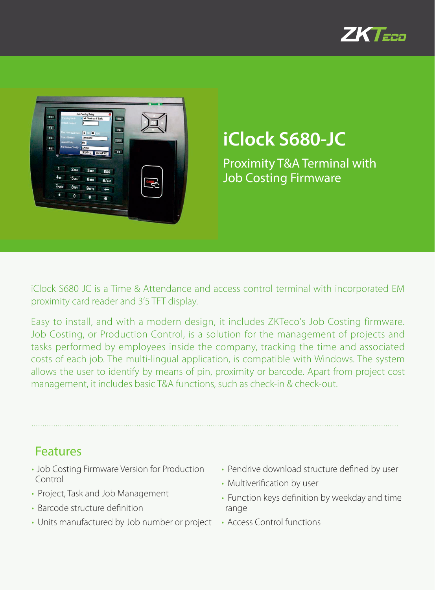



## **iClock S680-JC**

Proximity T&A Terminal with Job Costing Firmware

iClock S680 JC is a Time & Attendance and access control terminal with incorporated EM proximity card reader and 3'5 TFT display.

Easy to install, and with a modern design, it includes ZKTeco's Job Costing firmware. Job Costing, or Production Control, is a solution for the management of projects and tasks performed by employees inside the company, tracking the time and associated costs of each job. The multi-lingual application, is compatible with Windows. The system allows the user to identify by means of pin, proximity or barcode. Apart from project cost management, it includes basic T&A functions, such as check-in & check-out.

## Features

- Job Costing Firmware Version for Production Control
- Project, Task and Job Management
- Barcode structure definition
- Units manufactured by Job number or project
- Pendrive download structure defined by user
- Multiverification by user
- Function keys definition by weekday and time range
- Access Control functions